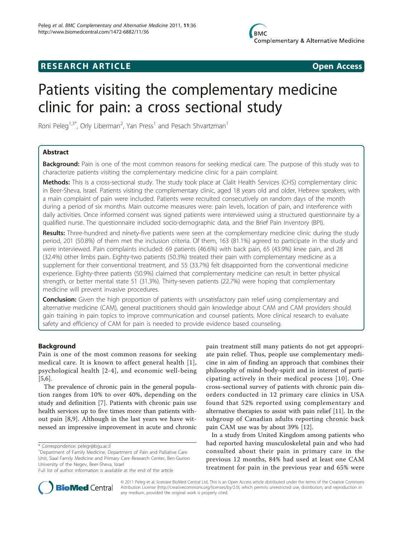# **RESEARCH ARTICLE Example 2018 CONSIDERING ACCESS**

# Patients visiting the complementary medicine clinic for pain: a cross sectional study

Roni Peleg $^{1,3^*}$ , Orly Liberman<sup>2</sup>, Yan Press<sup>1</sup> and Pesach Shvartzman<sup>1</sup>

# Abstract

Background: Pain is one of the most common reasons for seeking medical care. The purpose of this study was to characterize patients visiting the complementary medicine clinic for a pain complaint.

Methods: This is a cross-sectional study. The study took place at Clalit Health Services (CHS) complementary clinic in Beer-Sheva, Israel. Patients visiting the complementary clinic, aged 18 years old and older, Hebrew speakers, with a main complaint of pain were included. Patients were recruited consecutively on random days of the month during a period of six months. Main outcome measures were: pain levels, location of pain, and interference with daily activities. Once informed consent was signed patients were interviewed using a structured questionnaire by a qualified nurse. The questionnaire included socio-demographic data, and the Brief Pain Inventory (BPI).

Results: Three-hundred and ninety-five patients were seen at the complementary medicine clinic during the study period, 201 (50.8%) of them met the inclusion criteria. Of them, 163 (81.1%) agreed to participate in the study and were interviewed. Pain complaints included: 69 patients (46.6%) with back pain, 65 (43.9%) knee pain, and 28 (32.4%) other limbs pain. Eighty-two patients (50.3%) treated their pain with complementary medicine as a supplement for their conventional treatment, and 55 (33.7%) felt disappointed from the conventional medicine experience. Eighty-three patients (50.9%) claimed that complementary medicine can result in better physical strength, or better mental state 51 (31.3%). Thirty-seven patients (22.7%) were hoping that complementary medicine will prevent invasive procedures.

**Conclusion:** Given the high proportion of patients with unsatisfactory pain relief using complementary and alternative medicine (CAM), general practitioners should gain knowledge about CAM and CAM providers should gain training in pain topics to improve communication and counsel patients. More clinical research to evaluate safety and efficiency of CAM for pain is needed to provide evidence based counseling.

# Background

Pain is one of the most common reasons for seeking medical care. It is known to affect general health [[1](#page-5-0)], psychological health [[2-4](#page-5-0)], and economic well-being [[5,6\]](#page-5-0).

The prevalence of chronic pain in the general population ranges from 10% to over 40%, depending on the study and definition [\[7](#page-5-0)]. Patients with chronic pain use health services up to five times more than patients without pain [\[8](#page-5-0),[9\]](#page-5-0). Although in the last years we have witnessed an impressive improvement in acute and chronic

\* Correspondence: [pelegr@bgu.ac.il](mailto:pelegr@bgu.ac.il)

pain treatment still many patients do not get appropriate pain relief. Thus, people use complementary medicine in aim of finding an approach that combines their philosophy of mind-body-spirit and in interest of participating actively in their medical process [[10](#page-5-0)]. One cross-sectional survey of patients with chronic pain disorders conducted in 12 primary care clinics in USA found that 52% reported using complementary and alternative therapies to assist with pain relief [\[11](#page-5-0)]. In the subgroup of Canadian adults reporting chronic back pain CAM use was by about 39% [\[12\]](#page-5-0).

In a study from United Kingdom among patients who had reported having musculoskeletal pain and who had consulted about their pain in primary care in the previous 12 months, 84% had used at least one CAM treatment for pain in the previous year and 65% were



© 2011 Peleg et al; licensee BioMed Central Ltd. This is an Open Access article distributed under the terms of the Creative Commons Attribution License [\(http://creativecommons.org/licenses/by/2.0](http://creativecommons.org/licenses/by/2.0)), which permits unrestricted use, distribution, and reproduction in any medium, provided the original work is properly cited.

<sup>&</sup>lt;sup>1</sup>Department of Family Medicine, Department of Pain and Palliative Care Unit, Siaal Family Medicine and Primary Care Research Center, Ben-Gurion University of the Negev, Beer-Sheva, Israel

Full list of author information is available at the end of the article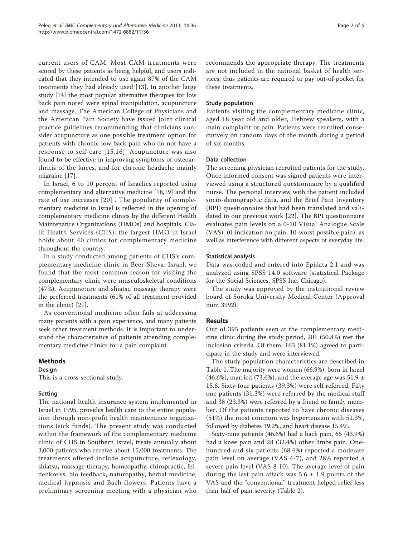current users of CAM. Most CAM treatments were scored by these patients as being helpful, and users indicated that they intended to use again 87% of the CAM treatments they had already used [[13\]](#page-5-0). In another large study [[14\]](#page-5-0) the most popular alternative therapies for low back pain noted were spinal manipulation, acupuncture and massage. The American College of Physicians and the American Pain Society have issued joint clinical practice guidelines recommending that clinicians consider acupuncture as one possible treatment option for patients with chronic low back pain who do not have a response to self-care [[15](#page-5-0),[16\]](#page-5-0). Acupuncture was also found to be effective in improving symptoms of osteoarthritis of the knees, and for chronic headache mainly migraine [[17\]](#page-5-0).

In Israel, 6 to 10 percent of Israelies reported using complementary and alternative medicine [\[18,19\]](#page-5-0) and the rate of use increases [[20\]](#page-5-0) . The popularity of complementary medicine in Israel is reflected in the opening of complementary medicine clinics by the different Health Maintenance Organizations (HMOs) and hospitals. Clalit Health Services (CHS), the largest HMO in Israel holds about 40 clinics for complementary medicine throughout the country.

In a study conducted among patients of CHS's complementary medicine clinic in Beer-Sheva, Israel, we found that the most common reason for visiting the complementary clinic were musculoskeletal conditions (47%). Acupuncture and shiatsu massage therapy were the preferred treatments (61% of all treatment provided in the clinic) [\[21](#page-5-0)].

As conventional medicine often fails at addressing many patients with a pain experience, and many patients seek other treatment methods. It is important to understand the characteristics of patients attending complementary medicine clinics for a pain complaint.

# Methods

Design

This is a cross-sectional study.

# Setting

The national health insurance system implemented in Israel in 1995, provides health care to the entire population through non-profit health maintenance organizations (sick funds). The present study was conducted within the framework of the complementary medicine clinic of CHS in Southern Israel, treats annually about 3,000 patients who receive about 15,000 treatments. The treatments offered include acupuncture, reflexology, shiatsu, massage therapy, homeopathy, chiropractic, feldenkreiss, bio feedback, naturopathy, herbal medicine, medical hypnosis and Bach flowers. Patients have a preliminary screening meeting with a physician who recommends the appropriate therapy. The treatments are not included in the national basket of health services, thus patients are required to pay out-of-pocket for these treatments.

#### Study population

Patients visiting the complementary medicine clinic, aged 18 year old and older, Hebrew speakers, with a main complaint of pain. Patients were recruited consecutively on random days of the month during a period of six months.

### Data collection

The screening physician recruited patients for the study. Once informed consent was signed patients were interviewed using a structured questionnaire by a qualified nurse. The personal interview with the patient included socio-demographic data, and the Brief Pain Inventory (BPI) questionnaire that had been translated and validated in our previous work [\[22](#page-5-0)]. The BPI questionnaire evaluates pain levels on a 0-10 Visual Analogue Scale (VAS), (0-indication no pain; 10-worst possible pain), as well as interference with different aspects of everyday life.

### Statistical analysis

Data was coded and entered into Epidata 2.1 and was analyzed using SPSS 14.0 software (statistical Package for the Social Sciences, SPSS Inc, Chicago).

The study was approved by the institutional review board of Soroka University Medical Center (Approval num 3992).

# Results

Out of 395 patients seen at the complementary medicine clinic during the study period, 201 (50.8%) met the inclusion criteria. Of them, 163 (81.1%) agreed to participate in the study and were interviewed.

The study population characteristics are described in Table [1](#page-2-0). The majority were women (66.9%), born in Israel (46.6%), married (73.6%), and the average age was 51.9  $\pm$ 15.6. Sixty-four patients (39.3%) were self referred. Fifty one patients (31.3%) were referred by the medical staff and 38 (23.3%) were referred by a friend or family member. Of the patients reported to have chronic diseases (51%) the most common was hypertension with 51.3%, followed by diabetes 19.2%, and heart disease 15.4%.

Sixty-nine patients (46.6%) had a back pain, 65 (43.9%) had a knee pain and 28 (32.4%) other limbs pain. Onehundred-and six patients (68.4%) reported a moderate pain level on average (VAS 4-7), and 28% reported a severe pain level (VAS 8-10). The average level of pain during the last pain attack was  $5.6 \pm 1.9$  points of the VAS and the "conventional" treatment helped relief less than half of pain severity (Table [2\)](#page-2-0).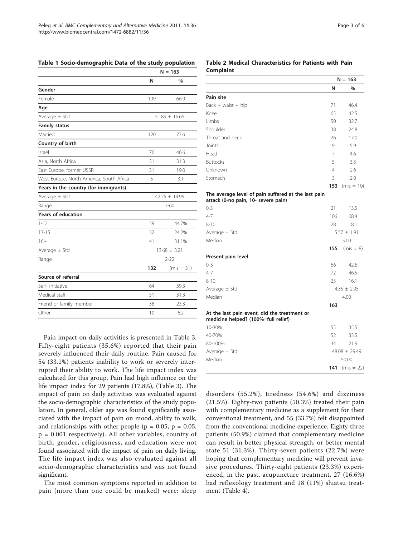<span id="page-2-0"></span>

|                                          | $N = 163$         |              |  |
|------------------------------------------|-------------------|--------------|--|
|                                          | N                 | %            |  |
| Gender                                   |                   |              |  |
| Female                                   | 109               | 66.9         |  |
| Age                                      |                   |              |  |
| Average $\pm$ Std                        | $51.89 \pm 15.66$ |              |  |
| <b>Family status</b>                     |                   |              |  |
| Married                                  | 120               | 73.6         |  |
| Country of birth                         |                   |              |  |
| Israel                                   | 76                | 46.6         |  |
| Asia, North Africa                       | 51                | 31.3         |  |
| East Europe, former USSR                 | 31                | 19.0         |  |
| West Europe, North America, South Africa | 5                 | 3.1          |  |
| Years in the country (for immigrants)    |                   |              |  |
| Average $\pm$ Std                        | $42.25 \pm 14.95$ |              |  |
| Range                                    | $7 - 60$          |              |  |
| <b>Years of education</b>                |                   |              |  |
| $1 - 12$                                 | 59                | 44.7%        |  |
| $13 - 15$                                | 32                | 24.2%        |  |
| $16+$                                    | 41                | 31.1%        |  |
| Average $\pm$ Std                        | $13.68 \pm 3.21$  |              |  |
| Range                                    |                   | $2 - 22$     |  |
|                                          | 132               | $(mis = 31)$ |  |
| Source of referral                       |                   |              |  |
| Self-initiative                          | 64                | 39.3         |  |
| Medical staff                            | 51                | 31.3         |  |
| Friend or family member                  | 38                | 23.3         |  |
| Other                                    | 10                | 6.2          |  |
|                                          |                   |              |  |

Pain impact on daily activities is presented in Table [3](#page-3-0). Fifty-eight patients (35.6%) reported that their pain severely influenced their daily routine. Pain caused for 54 (33.1%) patients inability to work or severely interrupted their ability to work. The life impact index was calculated for this group. Pain had high influence on the life impact index for 29 patients (17.8%), (Table [3](#page-3-0)). The impact of pain on daily activities was evaluated against the socio-demographic characteristics of the study population. In general, older age was found significantly associated with the impact of pain on mood, ability to walk, and relationships with other people ( $p = 0.05$ ,  $p = 0.05$ , p = 0.001 respectively). All other variables, country of birth, gender, religiousness, and education were not found associated with the impact of pain on daily living. The life impact index was also evaluated against all socio-demographic characteristics and was not found significant.

The most common symptoms reported in addition to pain (more than one could be marked) were: sleep

## Table 2 Medical Characteristics for Patients with Pain Complaint

|                                                                                            |                 | $N = 163$         |  |
|--------------------------------------------------------------------------------------------|-----------------|-------------------|--|
|                                                                                            | N               | $\frac{0}{0}$     |  |
| Pain site                                                                                  |                 |                   |  |
| Back + waist + hip                                                                         | 71              | 46.4              |  |
| Knee                                                                                       | 65              | 42.5              |  |
| I imbs                                                                                     | 50              | 32.7              |  |
| Shoulder                                                                                   | 38              | 24.8              |  |
| Throat and neck                                                                            | 26              | 17.0              |  |
| Joints                                                                                     | 9               | 5.9               |  |
| Head                                                                                       | 7               | 4.6               |  |
| <b>Buttocks</b>                                                                            | 5               | 3.3               |  |
| Unknown                                                                                    | 4               | 2.6               |  |
| Stomach                                                                                    | 3               | 2.0               |  |
|                                                                                            | 153             | $(mis = 10)$      |  |
| The average level of pain suffered at the last pain<br>attack (0-no pain, 10- severe pain) |                 |                   |  |
| $0 - 3$                                                                                    | 21              | 13.5              |  |
| $4 - 7$                                                                                    | 106             | 68.4              |  |
| $8 - 10$                                                                                   | 28              | 18.1              |  |
| Average $\pm$ Std                                                                          |                 | $5.57 \pm 1.91$   |  |
| Median                                                                                     |                 | 5.00              |  |
|                                                                                            | 155             | $(mis = 8)$       |  |
| Present pain level                                                                         |                 |                   |  |
| $0 - 3$                                                                                    | 66              | 42.6              |  |
| $4 - 7$                                                                                    | 72              | 46.5              |  |
| $8 - 10$                                                                                   | 25              | 16.1              |  |
| Average $\pm$ Std                                                                          | $4.35 \pm 2.95$ |                   |  |
| Median                                                                                     |                 | 4.00              |  |
|                                                                                            | 163             |                   |  |
| At the last pain event, did the treatment or<br>medicine helped? (100%=full relief)        |                 |                   |  |
| 10-30%                                                                                     | 55              | 35.5              |  |
| 40-70%                                                                                     | 52              | 33.5              |  |
| 80-100%                                                                                    | 34              | 21.9              |  |
| Average $\pm$ Std                                                                          |                 | $48.08 \pm 29.49$ |  |
| Median                                                                                     |                 | 50.00             |  |
|                                                                                            | 141             | $(mis = 22)$      |  |

disorders (55.2%), tiredness (54.6%) and dizziness (21.5%). Eighty-two patients (50.3%) treated their pain with complementary medicine as a supplement for their conventional treatment, and 55 (33.7%) felt disappointed from the conventional medicine experience. Eighty-three patients (50.9%) claimed that complementary medicine can result in better physical strength, or better mental state 51 (31.3%). Thirty-seven patients (22.7%) were hoping that complementary medicine will prevent invasive procedures. Thirty-eight patients (23.3%) experienced, in the past, acupuncture treatment, 27 (16.6%) had reflexology treatment and 18 (11%) shiatsu treatment (Table [4](#page-4-0)).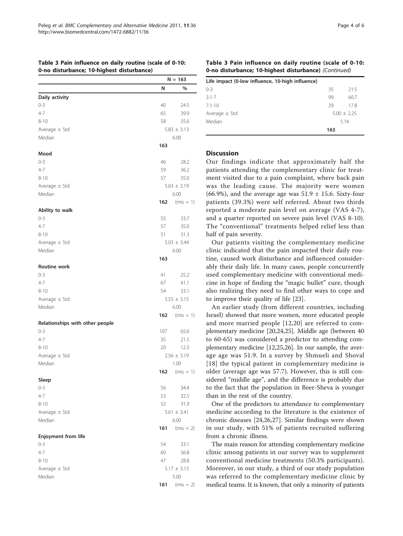|                                 |     | $N = 163$       |  |
|---------------------------------|-----|-----------------|--|
|                                 | N   | $\%$            |  |
| Daily activity                  |     |                 |  |
| $0 - 3$                         | 40  | 24.5            |  |
| $4 - 7$                         | 65  | 39.9            |  |
| $8 - 10$                        | 58  | 35.6            |  |
| Average $\pm$ Std               |     | $5.83 \pm 3.13$ |  |
| Median                          |     | 6.00            |  |
|                                 | 163 |                 |  |
| Mood                            |     |                 |  |
| $0 - 3$                         | 46  | 28.2            |  |
| $4 - 7$                         | 59  | 36.2            |  |
| $8 - 10$                        | 57  | 35.0            |  |
| Average $\pm$ Std               |     | $5.63 \pm 3.19$ |  |
| Median                          |     | 6.00            |  |
|                                 | 162 | $(mis = 1)$     |  |
| Ability to walk                 |     |                 |  |
| $0 - 3$                         | 55  | 33.7            |  |
| $4 - 7$                         | 57  | 35.0            |  |
| $8 - 10$                        | 51  | 31.3            |  |
| Average $\pm$ Std               |     | $5.03 \pm 3.44$ |  |
| Median                          |     | 6.00            |  |
| Routine work                    | 163 |                 |  |
| $0 - 3$                         | 41  | 25.2            |  |
| $4 - 7$                         | 67  | 41.1            |  |
| $8 - 10$                        | 54  | 33.1            |  |
| Average $\pm$ Std               |     | $5.53 \pm 3.15$ |  |
| Median                          |     | 6.00            |  |
|                                 | 162 | $(mis = 1)$     |  |
| Relationships with other people |     |                 |  |
| $0 - 3$                         | 107 | 65.6            |  |
| $4 - 7$                         | 35  | 21.5            |  |
| $8 - 10$                        | 20  | 12.3            |  |
| Average $\pm$ Std               |     | $2.56 \pm 3.19$ |  |
| Median                          |     | 1.00            |  |
|                                 | 162 | $(mis = 1)$     |  |
| Sleep                           |     |                 |  |
| $0 - 3$                         | 56  | 34.4            |  |
| $4 - 7$                         | 53  | 32.5            |  |
| $8 - 10$                        | 52  | 31.9            |  |
| Average $\pm$ Std               |     | $5.61 \pm 3.41$ |  |
| Median                          |     | 6.00            |  |
|                                 | 161 | $(mis = 2)$     |  |
| Enjoyment from life             |     |                 |  |
| $0 - 3$                         | 54  | 33.1            |  |
| $4 - 7$                         | 60  | 36.8            |  |
| $8 - 10$                        | 47  | 28.8            |  |
| Average $\pm$ Std               |     | $5.17 \pm 3.13$ |  |
| Median                          |     | 5.00            |  |
|                                 | 161 | $(mis = 2)$     |  |

<span id="page-3-0"></span>Table 3 Pain influence on daily routine (scale of 0-10: Table 3 Pain influence on daily routine (scale of 0-10: 0-no disturbance; 10-highest disturbance) (Continued)

| Life impact (0-low influence, 10-high influence) |     |               |  |
|--------------------------------------------------|-----|---------------|--|
| $0 - 3$                                          | 35  | 21.5          |  |
| $3.1 - 7$                                        | 99  | 60.7          |  |
| $7.1 - 10$                                       | 29  | 178           |  |
| Average $\pm$ Std                                |     | $5.00 + 2.25$ |  |
| Median                                           |     | 5.14          |  |
|                                                  | 163 |               |  |

#### **Discussion**

Our findings indicate that approximately half the patients attending the complementary clinic for treatment visited due to a pain complaint, where back pain was the leading cause. The majority were women (66.9%), and the average age was  $51.9 \pm 15.6$ . Sixty-four patients (39.3%) were self referred. About two thirds reported a moderate pain level on average (VAS 4-7), and a quarter reported on severe pain level (VAS 8-10). The "conventional" treatments helped relief less than half of pain severity.

Our patients visiting the complementary medicine clinic indicated that the pain impacted their daily routine, caused work disturbance and influenced considerably their daily life. In many cases, people concurrently used complementary medicine with conventional medicine in hope of finding the "magic bullet" cure, though also realizing they need to find other ways to cope and to improve their quality of life [[23\]](#page-5-0).

An earlier study (from different countries, including Israel) showed that more women, more educated people and more married people [[12](#page-5-0),[20\]](#page-5-0) are referred to complementary medicine [\[20,24,25\]](#page-5-0). Middle age (between 40 to 60-65) was considered a predictor to attending complementary medicine [[12,25,26](#page-5-0)]. In our sample, the average age was 51.9. In a survey by Shmueli and Shoval [[18](#page-5-0)] the typical patient in complementary medicine is older (average age was 57.7). However, this is still considered "middle age", and the difference is probably due to the fact that the population in Beer-Sheva is younger than in the rest of the country.

One of the predictors to attendance to complementary medicine according to the literature is the existence of chronic diseases [\[24,26,27](#page-5-0)]. Similar findings were shown in our study, with 51% of patients recruited suffering from a chronic illness.

The main reason for attending complementary medicine clinic among patients in our survey was to supplement conventional medicine treatments (50.3% participants). Moreover, in our study, a third of our study population was referred to the complementary medicine clinic by medical teams. It is known, that only a minority of patients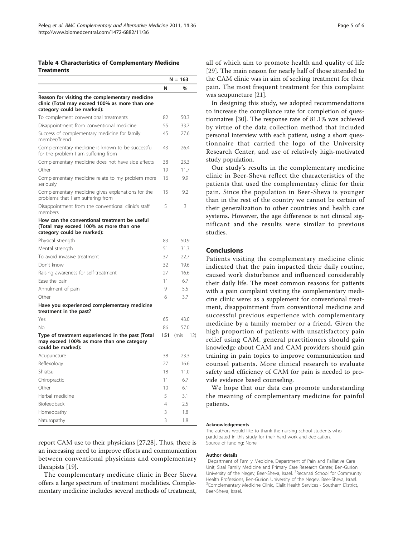#### <span id="page-4-0"></span>Table 4 Characteristics of Complementary Medicine **Treatments**

|                                                                                                                                |                | $N = 163$     |  |
|--------------------------------------------------------------------------------------------------------------------------------|----------------|---------------|--|
|                                                                                                                                | N              | $\frac{0}{0}$ |  |
| Reason for visiting the complementary medicine<br>clinic (Total may exceed 100% as more than one<br>category could be marked): |                |               |  |
| To complement conventional treatments                                                                                          | 82             | 50.3          |  |
| Disappointment from conventional medicine                                                                                      | 55             | 33.7          |  |
| Success of complementary medicine for family<br>member/friend                                                                  | 45             | 27.6          |  |
| Complementary medicine is known to be successful<br>for the problem I am suffering from                                        | 43             | 26.4          |  |
| Complementary medicine does not have side affects                                                                              | 38             | 23.3          |  |
| Other                                                                                                                          | 19             | 11.7          |  |
| Complementary medicine relate to my problem more<br>seriously                                                                  | 16             | 9.9           |  |
| Complementary medicine gives explanations for the<br>problems that I am suffering from                                         | 15             | 9.2           |  |
| Disappointment from the conventional clinic's staff<br>members                                                                 | 5              | 3             |  |
| How can the conventional treatment be useful<br>(Total may exceed 100% as more than one<br>category could be marked):          |                |               |  |
| Physical strength                                                                                                              | 83             | 50.9          |  |
| Mental strength                                                                                                                | 51             | 31.3          |  |
| To avoid invasive treatment                                                                                                    | 37             | 22.7          |  |
| Don't know                                                                                                                     | 32             | 19.6          |  |
| Raising awareness for self-treatment                                                                                           | 27             | 16.6          |  |
| Ease the pain                                                                                                                  | 11             | 6.7           |  |
| Annulment of pain                                                                                                              | 9              | 5.5           |  |
| Other                                                                                                                          | 6              | 3.7           |  |
| Have you experienced complementary medicine<br>treatment in the past?                                                          |                |               |  |
| Yes                                                                                                                            | 65             | 43.0          |  |
| No                                                                                                                             | 86             | 57.0          |  |
| Type of treatment experienced in the past (Total<br>may exceed 100% as more than one category<br>could be marked):             | 151            | $(mis = 12)$  |  |
| Acupuncture                                                                                                                    | 38             | 23.3          |  |
| Reflexology                                                                                                                    | 27             | 16.6          |  |
| Shiatsu                                                                                                                        | 18             | 11.0          |  |
| Chiropractic                                                                                                                   | 11             | 6.7           |  |
| Other                                                                                                                          | 10             | 6.1           |  |
| Herbal medicine                                                                                                                | 5              | 3.1           |  |
| Biofeedback                                                                                                                    | $\overline{4}$ | 2.5           |  |
| Homeopathy                                                                                                                     | 3              | 1.8           |  |
| Naturopathy                                                                                                                    | 3              | 1.8           |  |

report CAM use to their physicians [[27,28](#page-5-0)]. Thus, there is an increasing need to improve efforts and communication between conventional physicians and complementary therapists [[19](#page-5-0)].

The complementary medicine clinic in Beer Sheva offers a large spectrum of treatment modalities. Complementary medicine includes several methods of treatment,

all of which aim to promote health and quality of life [[29\]](#page-5-0). The main reason for nearly half of those attended to the CAM clinic was in aim of seeking treatment for their pain. The most frequent treatment for this complaint was acupuncture [\[21\]](#page-5-0).

In designing this study, we adopted recommendations to increase the compliance rate for completion of questionnaires [\[30](#page-5-0)]. The response rate of 81.1% was achieved by virtue of the data collection method that included personal interview with each patient, using a short questionnaire that carried the logo of the University Research Center, and use of relatively high-motivated study population.

Our study's results in the complementary medicine clinic in Beer-Sheva reflect the characteristics of the patients that used the complementary clinic for their pain. Since the population in Beer-Sheva is younger than in the rest of the country we cannot be certain of their generalization to other countries and health care systems. However, the age difference is not clinical significant and the results were similar to previous studies.

## Conclusions

Patients visiting the complementary medicine clinic indicated that the pain impacted their daily routine, caused work disturbance and influenced considerably their daily life. The most common reasons for patients with a pain complaint visiting the complementary medicine clinic were: as a supplement for conventional treatment, disappointment from conventional medicine and successful previous experience with complementary medicine by a family member or a friend. Given the high proportion of patients with unsatisfactory pain relief using CAM, general practitioners should gain knowledge about CAM and CAM providers should gain training in pain topics to improve communication and counsel patients. More clinical research to evaluate safety and efficiency of CAM for pain is needed to provide evidence based counseling.

We hope that our data can promote understanding the meaning of complementary medicine for painful patients.

#### Acknowledgements

The authors would like to thank the nursing school students who participated in this study for their hard work and dedication. Source of funding: None

#### Author details

<sup>1</sup>Department of Family Medicine, Department of Pain and Palliative Care Unit, Siaal Family Medicine and Primary Care Research Center, Ben-Gurion University of the Negev, Beer-Sheva, Israel. <sup>2</sup>Recanati School for Community Health Professions, Ben-Gurion University of the Negev, Beer-Sheva, Israel. <sup>3</sup>Complementary Medicine Clinic, Clalit Health Services - Southern District Beer-Sheva, Israel.